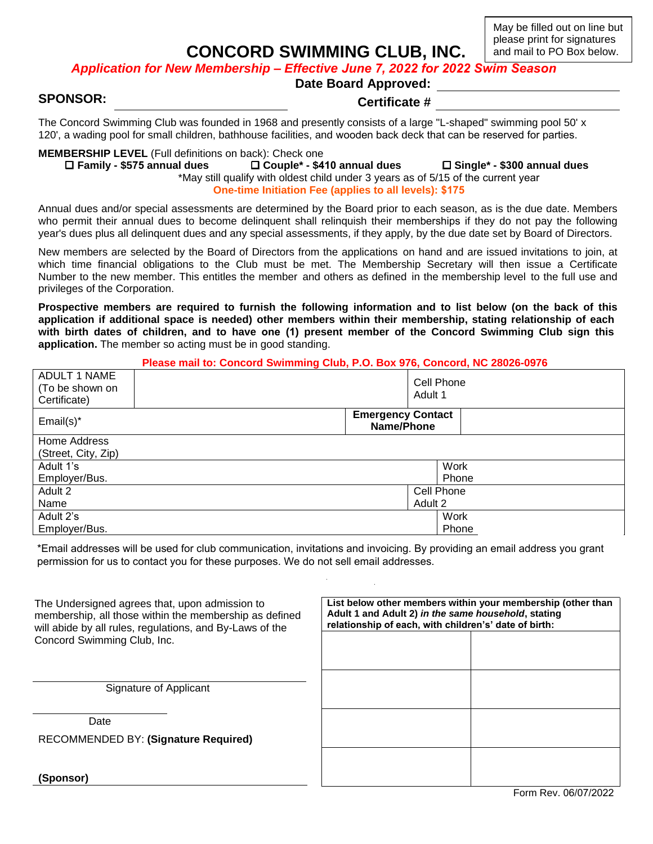**CONCORD SWIMMING CLUB, INC.**

May be filled out on line but please print for signatures and mail to PO Box below.

*Application for New Membership – Effective June 7, 2022 for 2022 Swim Season*

**Date Board Approved:**

**SPONSOR: Certificate #**

The Concord Swimming Club was founded in 1968 and presently consists of a large "L-shaped" swimming pool 50' x 120', a wading pool for small children, bathhouse facilities, and wooden back deck that can be reserved for parties.

# **MEMBERSHIP LEVEL** (Full definitions on back): Check one<br> **Couple\*** - \$44 - The Family - \$575 annual dues

 **Family - \$575 annual dues Couple\* - \$410 annual dues Single\* - \$300 annual dues** \*May still qualify with oldest child under 3 years as of 5/15 of the current year

**One-time Initiation Fee (applies to all levels): \$175**

Annual dues and/or special assessments are determined by the Board prior to each season, as is the due date. Members who permit their annual dues to become delinquent shall relinquish their memberships if they do not pay the following year's dues plus all delinquent dues and any special assessments, if they apply, by the due date set by Board of Directors.

New members are selected by the Board of Directors from the applications on hand and are issued invitations to join, at which time financial obligations to the Club must be met. The Membership Secretary will then issue a Certificate Number to the new member. This entitles the member and others as defined in the membership level to the full use and privileges of the Corporation.

**Prospective members are required to furnish the following information and to list below (on the back of this application if additional space is needed) other members within their membership, stating relationship of each with birth dates of children, and to have one (1) present member of the Concord Swimming Club sign this application.** The member so acting must be in good standing.

#### **Please mail to: Concord Swimming Club, P.O. Box 976, Concord, NC 28026-0976**

| <b>ADULT 1 NAME</b><br>(To be shown on<br>Certificate) |                                        | Cell Phone<br>Adult 1 |       |  |
|--------------------------------------------------------|----------------------------------------|-----------------------|-------|--|
| $Email(s)^*$                                           | <b>Emergency Contact</b><br>Name/Phone |                       |       |  |
| Home Address                                           |                                        |                       |       |  |
| (Street, City, Zip)                                    |                                        |                       |       |  |
| Adult 1's                                              |                                        |                       | Work  |  |
| Employer/Bus.                                          |                                        |                       | Phone |  |
| Adult 2                                                | Cell Phone                             |                       |       |  |
| Name                                                   | Adult 2                                |                       |       |  |
| Adult 2's                                              |                                        |                       | Work  |  |
| Employer/Bus.                                          |                                        |                       | Phone |  |

\*Email addresses will be used for club communication, invitations and invoicing. By providing an email address you grant permission for us to contact you for these purposes. We do not sell email addresses.

| The Undersigned agrees that, upon admission to<br>membership, all those within the membership as defined<br>will abide by all rules, regulations, and By-Laws of the<br>Concord Swimming Club, Inc. | List below other members within your membership (other than<br>Adult 1 and Adult 2) in the same household, stating<br>relationship of each, with children's' date of birth: |  |  |
|-----------------------------------------------------------------------------------------------------------------------------------------------------------------------------------------------------|-----------------------------------------------------------------------------------------------------------------------------------------------------------------------------|--|--|
| Signature of Applicant                                                                                                                                                                              |                                                                                                                                                                             |  |  |
| Date<br><b>RECOMMENDED BY: (Signature Required)</b>                                                                                                                                                 |                                                                                                                                                                             |  |  |
| (Sponsor)                                                                                                                                                                                           |                                                                                                                                                                             |  |  |